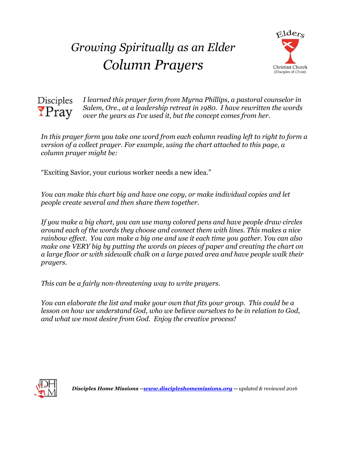## *Growing Spiritually as an Elder Column Prayers*





*I learned this prayer form from Myrna Phillips, a pastoral counselor in Salem, Ore., at a leadership retreat in 1980. I have rewritten the words over the years as I've used it, but the concept comes from her.*

*In this prayer form you take one word from each column reading left to right to form a version of a collect prayer. For example, using the chart attached to this page, a column prayer might be:*

"Exciting Savior, your curious worker needs a new idea."

*You can make this chart big and have one copy, or make individual copies and let people create several and then share them together.*

*If you make a big chart, you can use many colored pens and have people draw circles around each of the words they choose and connect them with lines. This makes a nice rainbow effect. You can make a big one and use it each time you gather. You can also make one VERY big by putting the words on pieces of paper and creating the chart on a large floor or with sidewalk chalk on a large paved area and have people walk their prayers.* 

*This can be a fairly non-threatening way to write prayers.*

*You can elaborate the list and make your own that fits your group. This could be a lesson on how we understand God, who we believe ourselves to be in relation to God, and what we most desire from God. Enjoy the creative process!* 



*Disciples Home Missions -[-www.discipleshomemissions.org](http://www.discipleshomemissions.org/) -- updated & reviewed 2016*